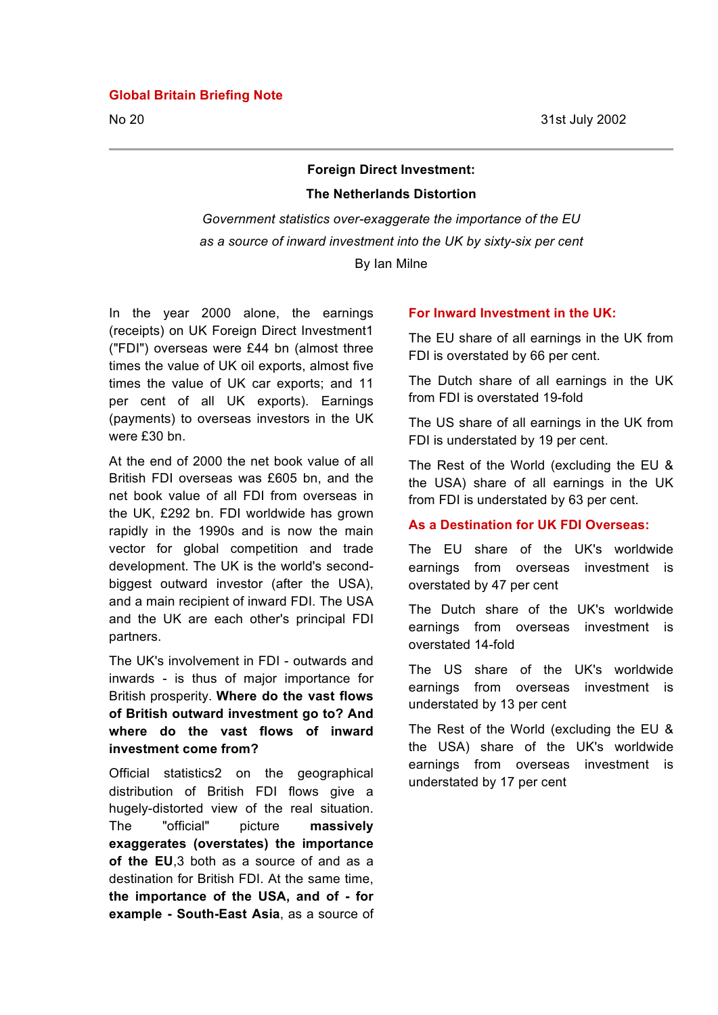#### **Global Britain Briefing Note**

No 20 31st July 2002

# **Foreign Direct Investment:**

# **The Netherlands Distortion**

*Government statistics over-exaggerate the importance of the EU as a source of inward investment into the UK by sixty-six per cent* By Ian Milne

In the year 2000 alone, the earnings (receipts) on UK Foreign Direct Investment1 ("FDI") overseas were £44 bn (almost three times the value of UK oil exports, almost five times the value of UK car exports; and 11 per cent of all UK exports). Earnings (payments) to overseas investors in the UK were £30 bn.

At the end of 2000 the net book value of all British FDI overseas was £605 bn, and the net book value of all FDI from overseas in the UK, £292 bn. FDI worldwide has grown rapidly in the 1990s and is now the main vector for global competition and trade development. The UK is the world's secondbiggest outward investor (after the USA), and a main recipient of inward FDI. The USA and the UK are each other's principal FDI partners.

The UK's involvement in FDI - outwards and inwards - is thus of major importance for British prosperity. **Where do the vast flows of British outward investment go to? And where do the vast flows of inward investment come from?**

Official statistics2 on the geographical distribution of British FDI flows give a hugely-distorted view of the real situation. The "official" picture **massively exaggerates (overstates) the importance of the EU**,3 both as a source of and as a destination for British FDI. At the same time, **the importance of the USA, and of - for example - South-East Asia**, as a source of

#### **For Inward Investment in the UK:**

The EU share of all earnings in the UK from FDI is overstated by 66 per cent.

The Dutch share of all earnings in the UK from FDI is overstated 19-fold

The US share of all earnings in the UK from FDI is understated by 19 per cent.

The Rest of the World (excluding the EU & the USA) share of all earnings in the UK from FDI is understated by 63 per cent.

#### **As a Destination for UK FDI Overseas:**

The EU share of the UK's worldwide earnings from overseas investment is overstated by 47 per cent

The Dutch share of the UK's worldwide earnings from overseas investment is overstated 14-fold

The US share of the UK's worldwide earnings from overseas investment is understated by 13 per cent

The Rest of the World (excluding the EU & the USA) share of the UK's worldwide earnings from overseas investment is understated by 17 per cent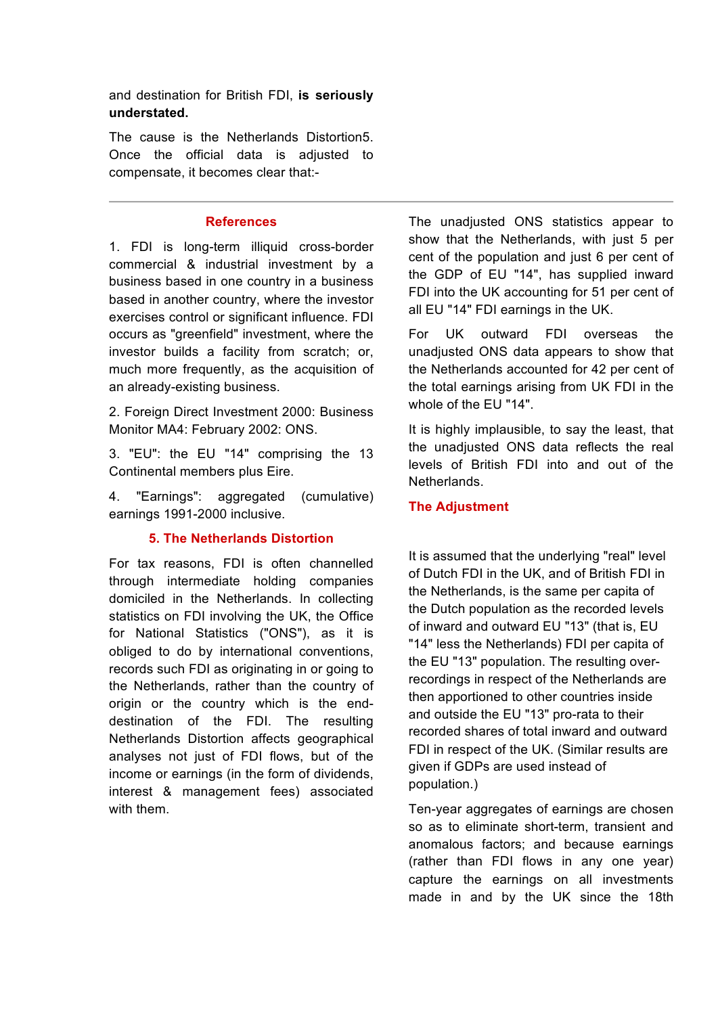and destination for British FDI, **is seriously understated.**

The cause is the Netherlands Distortion5. Once the official data is adjusted to compensate, it becomes clear that:-

#### **References**

1. FDI is long-term illiquid cross-border commercial & industrial investment by a business based in one country in a business based in another country, where the investor exercises control or significant influence. FDI occurs as "greenfield" investment, where the investor builds a facility from scratch; or, much more frequently, as the acquisition of an already-existing business.

2. Foreign Direct Investment 2000: Business Monitor MA4: February 2002: ONS.

3. "EU": the EU "14" comprising the 13 Continental members plus Eire.

4. "Earnings": aggregated (cumulative) earnings 1991-2000 inclusive.

#### **5. The Netherlands Distortion**

For tax reasons, FDI is often channelled through intermediate holding companies domiciled in the Netherlands. In collecting statistics on FDI involving the UK, the Office for National Statistics ("ONS"), as it is obliged to do by international conventions, records such FDI as originating in or going to the Netherlands, rather than the country of origin or the country which is the enddestination of the FDI. The resulting Netherlands Distortion affects geographical analyses not just of FDI flows, but of the income or earnings (in the form of dividends, interest & management fees) associated with them.

The unadjusted ONS statistics appear to show that the Netherlands, with just 5 per cent of the population and just 6 per cent of the GDP of EU "14", has supplied inward FDI into the UK accounting for 51 per cent of all EU "14" FDI earnings in the UK.

For UK outward FDI overseas the unadjusted ONS data appears to show that the Netherlands accounted for 42 per cent of the total earnings arising from UK FDI in the whole of the EU "14".

It is highly implausible, to say the least, that the unadjusted ONS data reflects the real levels of British FDI into and out of the Netherlands.

## **The Adjustment**

It is assumed that the underlying "real" level of Dutch FDI in the UK, and of British FDI in the Netherlands, is the same per capita of the Dutch population as the recorded levels of inward and outward EU "13" (that is, EU "14" less the Netherlands) FDI per capita of the EU "13" population. The resulting overrecordings in respect of the Netherlands are then apportioned to other countries inside and outside the EU "13" pro-rata to their recorded shares of total inward and outward FDI in respect of the UK. (Similar results are given if GDPs are used instead of population.)

Ten-year aggregates of earnings are chosen so as to eliminate short-term, transient and anomalous factors; and because earnings (rather than FDI flows in any one year) capture the earnings on all investments made in and by the UK since the 18th